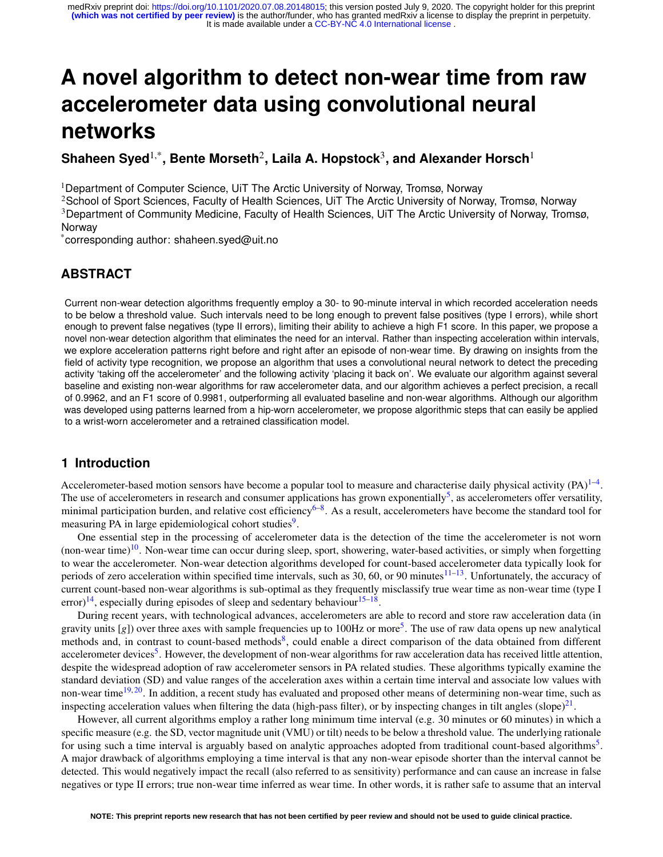# <span id="page-0-0"></span>**A novel algorithm to detect non-wear time from raw accelerometer data using convolutional neural networks**

# $\mathsf{Shaheen\,S}\mathsf{yed}^{1,*},$  Bente Morseth<sup>2</sup>, Laila A. Hopstock $^3$ , and Alexander Horsch $^1$

<sup>1</sup>Department of Computer Science, UiT The Arctic University of Norway, Tromsø, Norway

<sup>2</sup>School of Sport Sciences, Faculty of Health Sciences, UiT The Arctic University of Norway, Tromsø, Norway <sup>3</sup>Department of Community Medicine, Faculty of Health Sciences, UiT The Arctic University of Norway, Tromsø, Norway

\*corresponding author: shaheen.syed@uit.no

# **ABSTRACT**

Current non-wear detection algorithms frequently employ a 30- to 90-minute interval in which recorded acceleration needs to be below a threshold value. Such intervals need to be long enough to prevent false positives (type I errors), while short enough to prevent false negatives (type II errors), limiting their ability to achieve a high F1 score. In this paper, we propose a novel non-wear detection algorithm that eliminates the need for an interval. Rather than inspecting acceleration within intervals, we explore acceleration patterns right before and right after an episode of non-wear time. By drawing on insights from the field of activity type recognition, we propose an algorithm that uses a convolutional neural network to detect the preceding activity 'taking off the accelerometer' and the following activity 'placing it back on'. We evaluate our algorithm against several baseline and existing non-wear algorithms for raw accelerometer data, and our algorithm achieves a perfect precision, a recall of 0.9962, and an F1 score of 0.9981, outperforming all evaluated baseline and non-wear algorithms. Although our algorithm was developed using patterns learned from a hip-worn accelerometer, we propose algorithmic steps that can easily be applied to a wrist-worn accelerometer and a retrained classification model.

# **1 Introduction**

Accelerometer-based motion sensors have become a popular tool to measure and characterise daily physical activity  $(PA)^{1-4}$  $(PA)^{1-4}$  $(PA)^{1-4}$ . The use of accelerometers in research and consumer applications has grown exponentially<sup>[5](#page-10-2)</sup>, as accelerometers offer versatility, minimal participation burden, and relative cost efficiency<sup>[6](#page-10-3)-8</sup>. As a result, accelerometers have become the standard tool for measuring PA in large epidemiological cohort studies<sup>[9](#page-11-1)</sup>.

One essential step in the processing of accelerometer data is the detection of the time the accelerometer is not worn (non-wear time)<sup>[10](#page-11-2)</sup>. Non-wear time can occur during sleep, sport, showering, water-based activities, or simply when forgetting to wear the accelerometer. Non-wear detection algorithms developed for count-based accelerometer data typically look for periods of zero acceleration within specified time intervals, such as 30, 60, or 90 minutes $11-13$  $11-13$ . Unfortunately, the accuracy of current count-based non-wear algorithms is sub-optimal as they frequently misclassify true wear time as non-wear time (type I error)<sup>[14](#page-11-5)</sup>, especially during episodes of sleep and sedentary behaviour<sup>[15](#page-11-6)[–18](#page-11-7)</sup>.

During recent years, with technological advances, accelerometers are able to record and store raw acceleration data (in gravity units [g]) over three axes with sample frequencies up to 100Hz or more<sup>[5](#page-10-2)</sup>. The use of raw data opens up new analytical methods and, in contrast to count-based methods<sup>[8](#page-11-0)</sup>, could enable a direct comparison of the data obtained from different accelerometer devices<sup>[5](#page-10-2)</sup>. However, the development of non-wear algorithms for raw acceleration data has received little attention, despite the widespread adoption of raw accelerometer sensors in PA related studies. These algorithms typically examine the standard deviation (SD) and value ranges of the acceleration axes within a certain time interval and associate low values with non-wear time<sup>[19,](#page-11-8) [20](#page-11-9)</sup>. In addition, a recent study has evaluated and proposed other means of determining non-wear time, such as inspecting acceleration values when filtering the data (high-pass filter), or by inspecting changes in tilt angles (slope) $^{21}$  $^{21}$  $^{21}$ .

However, all current algorithms employ a rather long minimum time interval (e.g. 30 minutes or 60 minutes) in which a specific measure (e.g. the SD, vector magnitude unit (VMU) or tilt) needs to be below a threshold value. The underlying rationale for using such a time interval is arguably based on analytic approaches adopted from traditional count-based algorithms<sup>[5](#page-10-2)</sup>. A major drawback of algorithms employing a time interval is that any non-wear episode shorter than the interval cannot be detected. This would negatively impact the recall (also referred to as sensitivity) performance and can cause an increase in false negatives or type II errors; true non-wear time inferred as wear time. In other words, it is rather safe to assume that an interval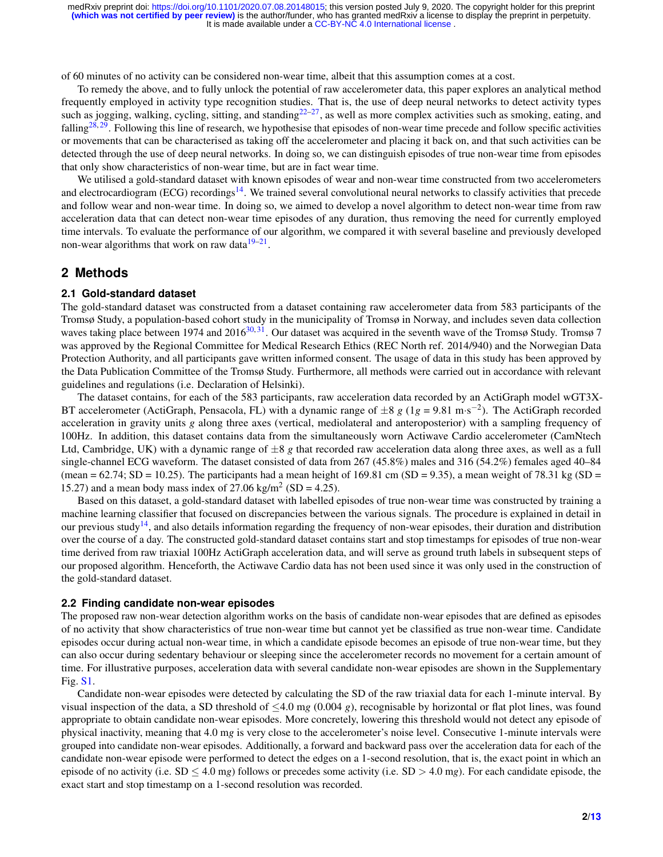of 60 minutes of no activity can be considered non-wear time, albeit that this assumption comes at a cost.

To remedy the above, and to fully unlock the potential of raw accelerometer data, this paper explores an analytical method frequently employed in activity type recognition studies. That is, the use of deep neural networks to detect activity types such as jogging, walking, cycling, sitting, and standing $22-27$  $22-27$ , as well as more complex activities such as smoking, eating, and falling<sup>[28,](#page-12-1) [29](#page-12-2)</sup>. Following this line of research, we hypothesise that episodes of non-wear time precede and follow specific activities or movements that can be characterised as taking off the accelerometer and placing it back on, and that such activities can be detected through the use of deep neural networks. In doing so, we can distinguish episodes of true non-wear time from episodes that only show characteristics of non-wear time, but are in fact wear time.

We utilised a gold-standard dataset with known episodes of wear and non-wear time constructed from two accelerometers and electrocardiogram (ECG) recordings<sup>[14](#page-11-5)</sup>. We trained several convolutional neural networks to classify activities that precede and follow wear and non-wear time. In doing so, we aimed to develop a novel algorithm to detect non-wear time from raw acceleration data that can detect non-wear time episodes of any duration, thus removing the need for currently employed time intervals. To evaluate the performance of our algorithm, we compared it with several baseline and previously developed non-wear algorithms that work on raw data $19-21$  $19-21$ .

## **2 Methods**

#### **2.1 Gold-standard dataset**

The gold-standard dataset was constructed from a dataset containing raw accelerometer data from 583 participants of the Tromsø Study, a population-based cohort study in the municipality of Tromsø in Norway, and includes seven data collection waves taking place between 1974 and 2016<sup>[30,](#page-12-3) [31](#page-12-4)</sup>. Our dataset was acquired in the seventh wave of the Tromsø Study. Tromsø 7 was approved by the Regional Committee for Medical Research Ethics (REC North ref. 2014/940) and the Norwegian Data Protection Authority, and all participants gave written informed consent. The usage of data in this study has been approved by the Data Publication Committee of the Tromsø Study. Furthermore, all methods were carried out in accordance with relevant guidelines and regulations (i.e. Declaration of Helsinki).

The dataset contains, for each of the 583 participants, raw acceleration data recorded by an ActiGraph model wGT3X-BT accelerometer (ActiGraph, Pensacola, FL) with a dynamic range of  $\pm 8$  g (1g = 9.81 m·s<sup>-2</sup>). The ActiGraph recorded acceleration in gravity units *g* along three axes (vertical, mediolateral and anteroposterior) with a sampling frequency of 100Hz. In addition, this dataset contains data from the simultaneously worn Actiwave Cardio accelerometer (CamNtech Ltd, Cambridge, UK) with a dynamic range of  $\pm 8$  g that recorded raw acceleration data along three axes, as well as a full single-channel ECG waveform. The dataset consisted of data from 267 (45.8%) males and 316 (54.2%) females aged 40–84 (mean =  $62.74$ ; SD = 10.25). The participants had a mean height of 169.81 cm (SD = 9.35), a mean weight of 78.31 kg (SD = 15.27) and a mean body mass index of 27.06 kg/m<sup>2</sup> (SD = 4.25).

Based on this dataset, a gold-standard dataset with labelled episodes of true non-wear time was constructed by training a machine learning classifier that focused on discrepancies between the various signals. The procedure is explained in detail in our previous study<sup>[14](#page-11-5)</sup>, and also details information regarding the frequency of non-wear episodes, their duration and distribution over the course of a day. The constructed gold-standard dataset contains start and stop timestamps for episodes of true non-wear time derived from raw triaxial 100Hz ActiGraph acceleration data, and will serve as ground truth labels in subsequent steps of our proposed algorithm. Henceforth, the Actiwave Cardio data has not been used since it was only used in the construction of the gold-standard dataset.

#### **2.2 Finding candidate non-wear episodes**

The proposed raw non-wear detection algorithm works on the basis of candidate non-wear episodes that are defined as episodes of no activity that show characteristics of true non-wear time but cannot yet be classified as true non-wear time. Candidate episodes occur during actual non-wear time, in which a candidate episode becomes an episode of true non-wear time, but they can also occur during sedentary behaviour or sleeping since the accelerometer records no movement for a certain amount of time. For illustrative purposes, acceleration data with several candidate non-wear episodes are shown in the Supplementary Fig. [S1.](#page-0-0)

Candidate non-wear episodes were detected by calculating the SD of the raw triaxial data for each 1-minute interval. By visual inspection of the data, a SD threshold of ≤4.0 m*g* (0.004 *g*), recognisable by horizontal or flat plot lines, was found appropriate to obtain candidate non-wear episodes. More concretely, lowering this threshold would not detect any episode of physical inactivity, meaning that 4.0 m*g* is very close to the accelerometer's noise level. Consecutive 1-minute intervals were grouped into candidate non-wear episodes. Additionally, a forward and backward pass over the acceleration data for each of the candidate non-wear episode were performed to detect the edges on a 1-second resolution, that is, the exact point in which an episode of no activity (i.e.  $SD \le 4.0$  mg) follows or precedes some activity (i.e.  $SD > 4.0$  mg). For each candidate episode, the exact start and stop timestamp on a 1-second resolution was recorded.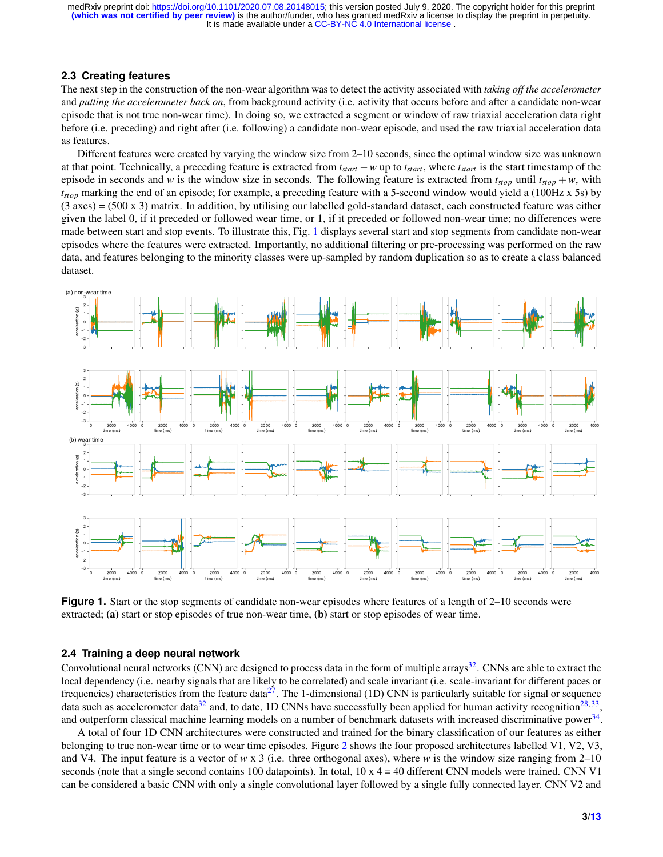#### **2.3 Creating features**

The next step in the construction of the non-wear algorithm was to detect the activity associated with *taking off the accelerometer* and *putting the accelerometer back on*, from background activity (i.e. activity that occurs before and after a candidate non-wear episode that is not true non-wear time). In doing so, we extracted a segment or window of raw triaxial acceleration data right before (i.e. preceding) and right after (i.e. following) a candidate non-wear episode, and used the raw triaxial acceleration data as features.

Different features were created by varying the window size from 2–10 seconds, since the optimal window size was unknown at that point. Technically, a preceding feature is extracted from *tstart* −*w* up to *tstart*, where *tstart* is the start timestamp of the episode in seconds and *w* is the window size in seconds. The following feature is extracted from  $t_{stop}$  until  $t_{stop} + w$ , with *tstop* marking the end of an episode; for example, a preceding feature with a 5-second window would yield a (100Hz x 5s) by (3 axes) = (500 x 3) matrix. In addition, by utilising our labelled gold-standard dataset, each constructed feature was either given the label 0, if it preceded or followed wear time, or 1, if it preceded or followed non-wear time; no differences were made between start and stop events. To illustrate this, Fig. [1](#page-2-0) displays several start and stop segments from candidate non-wear episodes where the features were extracted. Importantly, no additional filtering or pre-processing was performed on the raw data, and features belonging to the minority classes were up-sampled by random duplication so as to create a class balanced dataset.

<span id="page-2-0"></span>

**Figure 1.** Start or the stop segments of candidate non-wear episodes where features of a length of 2–10 seconds were extracted; (a) start or stop episodes of true non-wear time, (b) start or stop episodes of wear time.

#### **2.4 Training a deep neural network**

Convolutional neural networks (CNN) are designed to process data in the form of multiple arrays<sup>[32](#page-12-6)</sup>. CNNs are able to extract the local dependency (i.e. nearby signals that are likely to be correlated) and scale invariant (i.e. scale-invariant for different paces or frequencies) characteristics from the feature data<sup>[27](#page-12-0)</sup>. The 1-dimensional (1D) CNN is particularly suitable for signal or sequence data such as accelerometer data<sup>[32](#page-12-6)</sup> and, to date, 1D CNNs have successfully been applied for human activity recognition<sup>[28,](#page-12-1)[33](#page-12-7)</sup>, and outperform classical machine learning models on a number of benchmark datasets with increased discriminative power $^{34}$  $^{34}$  $^{34}$ .

A total of four 1D CNN architectures were constructed and trained for the binary classification of our features as either belonging to true non-wear time or to wear time episodes. Figure [2](#page-3-0) shows the four proposed architectures labelled V1, V2, V3, and V4. The input feature is a vector of  $w \times 3$  (i.e. three orthogonal axes), where  $w$  is the window size ranging from 2–10 seconds (note that a single second contains 100 datapoints). In total,  $10 \times 4 = 40$  different CNN models were trained. CNN V1 can be considered a basic CNN with only a single convolutional layer followed by a single fully connected layer. CNN V2 and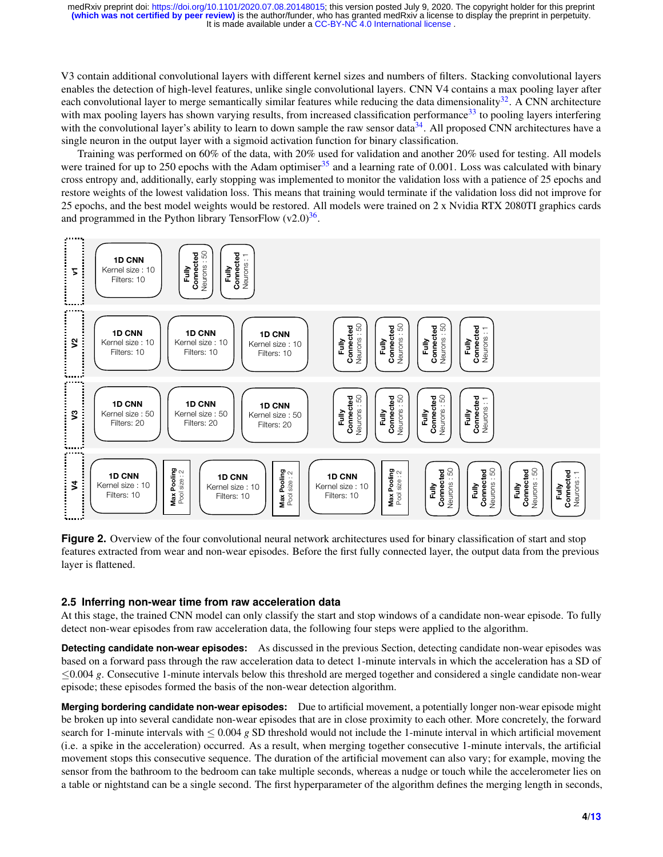V3 contain additional convolutional layers with different kernel sizes and numbers of filters. Stacking convolutional layers enables the detection of high-level features, unlike single convolutional layers. CNN V4 contains a max pooling layer after each convolutional layer to merge semantically similar features while reducing the data dimensionality $32$ . A CNN architecture with max pooling layers has shown varying results, from increased classification performance<sup>[33](#page-12-7)</sup> to pooling layers interfering with the convolutional layer's ability to learn to down sample the raw sensor data<sup>[34](#page-12-8)</sup>. All proposed CNN architectures have a single neuron in the output layer with a sigmoid activation function for binary classification.

Training was performed on 60% of the data, with 20% used for validation and another 20% used for testing. All models were trained for up to 250 epochs with the Adam optimiser $35$  and a learning rate of 0.001. Loss was calculated with binary cross entropy and, additionally, early stopping was implemented to monitor the validation loss with a patience of 25 epochs and restore weights of the lowest validation loss. This means that training would terminate if the validation loss did not improve for 25 epochs, and the best model weights would be restored. All models were trained on 2 x Nvidia RTX 2080TI graphics cards and programmed in the Python library TensorFlow  $(v2.0)^{36}$  $(v2.0)^{36}$  $(v2.0)^{36}$ .

<span id="page-3-0"></span>

**Figure 2.** Overview of the four convolutional neural network architectures used for binary classification of start and stop features extracted from wear and non-wear episodes. Before the first fully connected layer, the output data from the previous layer is flattened.

#### **2.5 Inferring non-wear time from raw acceleration data**

At this stage, the trained CNN model can only classify the start and stop windows of a candidate non-wear episode. To fully detect non-wear episodes from raw acceleration data, the following four steps were applied to the algorithm.

**Detecting candidate non-wear episodes:** As discussed in the previous Section, detecting candidate non-wear episodes was based on a forward pass through the raw acceleration data to detect 1-minute intervals in which the acceleration has a SD of ≤0.004 *g*. Consecutive 1-minute intervals below this threshold are merged together and considered a single candidate non-wear episode; these episodes formed the basis of the non-wear detection algorithm.

**Merging bordering candidate non-wear episodes:** Due to artificial movement, a potentially longer non-wear episode might be broken up into several candidate non-wear episodes that are in close proximity to each other. More concretely, the forward search for 1-minute intervals with  $\leq 0.004$  g SD threshold would not include the 1-minute interval in which artificial movement (i.e. a spike in the acceleration) occurred. As a result, when merging together consecutive 1-minute intervals, the artificial movement stops this consecutive sequence. The duration of the artificial movement can also vary; for example, moving the sensor from the bathroom to the bedroom can take multiple seconds, whereas a nudge or touch while the accelerometer lies on a table or nightstand can be a single second. The first hyperparameter of the algorithm defines the merging length in seconds,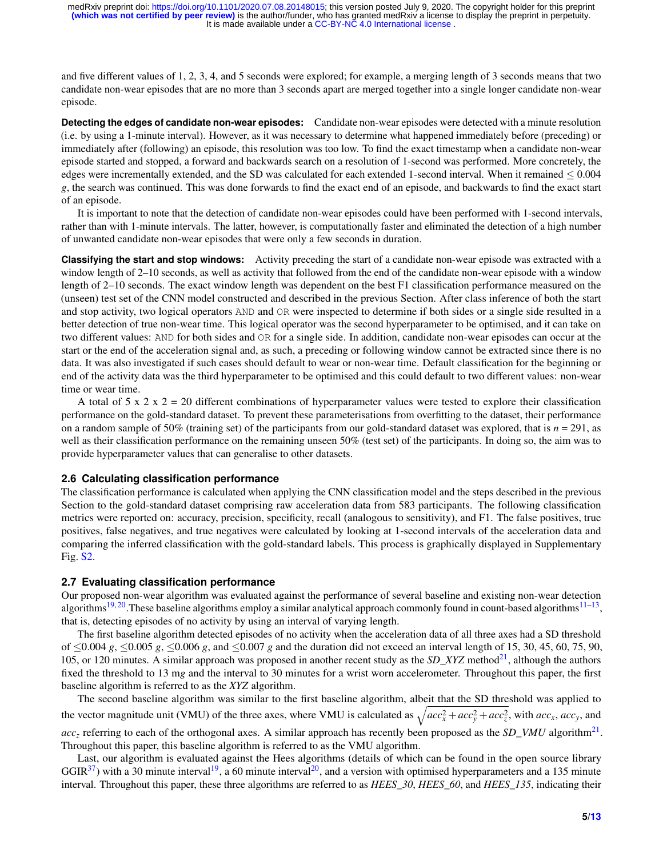and five different values of 1, 2, 3, 4, and 5 seconds were explored; for example, a merging length of 3 seconds means that two candidate non-wear episodes that are no more than 3 seconds apart are merged together into a single longer candidate non-wear episode.

**Detecting the edges of candidate non-wear episodes:** Candidate non-wear episodes were detected with a minute resolution (i.e. by using a 1-minute interval). However, as it was necessary to determine what happened immediately before (preceding) or immediately after (following) an episode, this resolution was too low. To find the exact timestamp when a candidate non-wear episode started and stopped, a forward and backwards search on a resolution of 1-second was performed. More concretely, the edges were incrementally extended, and the SD was calculated for each extended 1-second interval. When it remained  $\leq 0.004$ *g*, the search was continued. This was done forwards to find the exact end of an episode, and backwards to find the exact start of an episode.

It is important to note that the detection of candidate non-wear episodes could have been performed with 1-second intervals, rather than with 1-minute intervals. The latter, however, is computationally faster and eliminated the detection of a high number of unwanted candidate non-wear episodes that were only a few seconds in duration.

**Classifying the start and stop windows:** Activity preceding the start of a candidate non-wear episode was extracted with a window length of 2–10 seconds, as well as activity that followed from the end of the candidate non-wear episode with a window length of 2–10 seconds. The exact window length was dependent on the best F1 classification performance measured on the (unseen) test set of the CNN model constructed and described in the previous Section. After class inference of both the start and stop activity, two logical operators AND and OR were inspected to determine if both sides or a single side resulted in a better detection of true non-wear time. This logical operator was the second hyperparameter to be optimised, and it can take on two different values: AND for both sides and OR for a single side. In addition, candidate non-wear episodes can occur at the start or the end of the acceleration signal and, as such, a preceding or following window cannot be extracted since there is no data. It was also investigated if such cases should default to wear or non-wear time. Default classification for the beginning or end of the activity data was the third hyperparameter to be optimised and this could default to two different values: non-wear time or wear time.

A total of  $5 \times 2 \times 2 = 20$  different combinations of hyperparameter values were tested to explore their classification performance on the gold-standard dataset. To prevent these parameterisations from overfitting to the dataset, their performance on a random sample of 50% (training set) of the participants from our gold-standard dataset was explored, that is  $n = 291$ , as well as their classification performance on the remaining unseen 50% (test set) of the participants. In doing so, the aim was to provide hyperparameter values that can generalise to other datasets.

#### **2.6 Calculating classification performance**

The classification performance is calculated when applying the CNN classification model and the steps described in the previous Section to the gold-standard dataset comprising raw acceleration data from 583 participants. The following classification metrics were reported on: accuracy, precision, specificity, recall (analogous to sensitivity), and F1. The false positives, true positives, false negatives, and true negatives were calculated by looking at 1-second intervals of the acceleration data and comparing the inferred classification with the gold-standard labels. This process is graphically displayed in Supplementary Fig. [S2.](#page-0-0)

#### **2.7 Evaluating classification performance**

Our proposed non-wear algorithm was evaluated against the performance of several baseline and existing non-wear detection algorithms<sup>[19,](#page-11-8)[20](#page-11-9)</sup>. These baseline algorithms employ a similar analytical approach commonly found in count-based algorithms<sup>[11–](#page-11-3)[13](#page-11-4)</sup>, that is, detecting episodes of no activity by using an interval of varying length.

The first baseline algorithm detected episodes of no activity when the acceleration data of all three axes had a SD threshold of ≤0.004 *g*, ≤0.005 *g*, ≤0.006 *g*, and ≤0.007 *g* and the duration did not exceed an interval length of 15, 30, 45, 60, 75, 90, 105, or 120 minutes. A similar approach was proposed in another recent study as the *SD\_XYZ* method<sup>[21](#page-11-10)</sup>, although the authors fixed the threshold to 13 m*g* and the interval to 30 minutes for a wrist worn accelerometer. Throughout this paper, the first baseline algorithm is referred to as the *XYZ* algorithm.

The second baseline algorithm was similar to the first baseline algorithm, albeit that the SD threshold was applied to the vector magnitude unit (VMU) of the three axes, where VMU is calculated as  $\sqrt{acc_x^2 + acc_y^2 + acc_z^2}$ , with  $acc_x$ ,  $acc_y$ , and  $acc_z$  referring to each of the orthogonal axes. A similar approach has recently been proposed as the *SD\_VMU* algorithm<sup>[21](#page-11-10)</sup>. Throughout this paper, this baseline algorithm is referred to as the VMU algorithm.

Last, our algorithm is evaluated against the Hees algorithms (details of which can be found in the open source library  $GGIR<sup>37</sup>$  $GGIR<sup>37</sup>$  $GGIR<sup>37</sup>$ ) with a 30 minute interval<sup>[19](#page-11-8)</sup>, a 60 minute interval<sup>[20](#page-11-9)</sup>, and a version with optimised hyperparameters and a 135 minute interval. Throughout this paper, these three algorithms are referred to as *HEES\_30*, *HEES\_60*, and *HEES\_135*, indicating their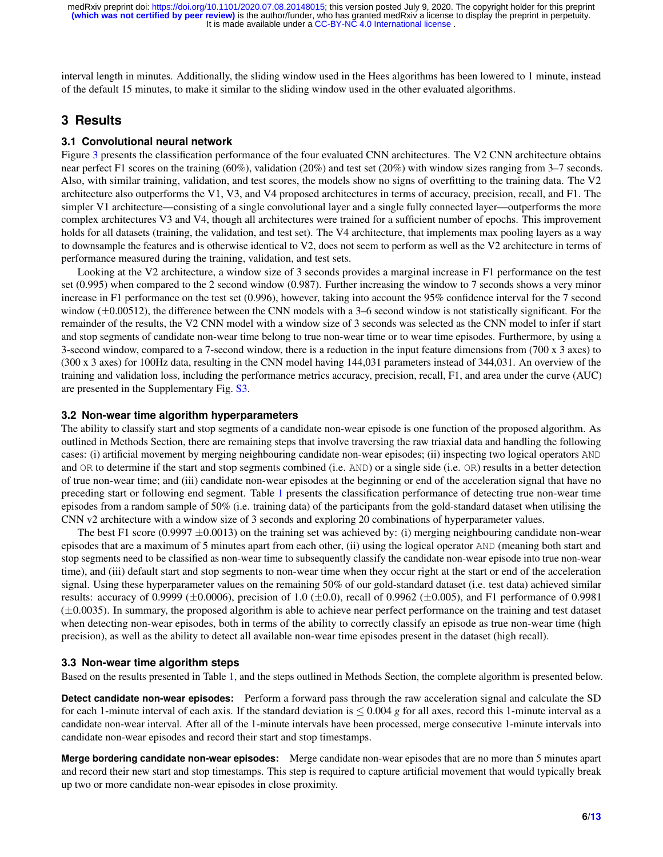interval length in minutes. Additionally, the sliding window used in the Hees algorithms has been lowered to 1 minute, instead of the default 15 minutes, to make it similar to the sliding window used in the other evaluated algorithms.

# **3 Results**

#### **3.1 Convolutional neural network**

Figure [3](#page-6-0) presents the classification performance of the four evaluated CNN architectures. The V2 CNN architecture obtains near perfect F1 scores on the training (60%), validation (20%) and test set (20%) with window sizes ranging from 3–7 seconds. Also, with similar training, validation, and test scores, the models show no signs of overfitting to the training data. The V2 architecture also outperforms the V1, V3, and V4 proposed architectures in terms of accuracy, precision, recall, and F1. The simpler V1 architecture—consisting of a single convolutional layer and a single fully connected layer—outperforms the more complex architectures V3 and V4, though all architectures were trained for a sufficient number of epochs. This improvement holds for all datasets (training, the validation, and test set). The V4 architecture, that implements max pooling layers as a way to downsample the features and is otherwise identical to V2, does not seem to perform as well as the V2 architecture in terms of performance measured during the training, validation, and test sets.

Looking at the V2 architecture, a window size of 3 seconds provides a marginal increase in F1 performance on the test set (0.995) when compared to the 2 second window (0.987). Further increasing the window to 7 seconds shows a very minor increase in F1 performance on the test set (0.996), however, taking into account the 95% confidence interval for the 7 second window ( $\pm 0.00512$ ), the difference between the CNN models with a 3–6 second window is not statistically significant. For the remainder of the results, the V2 CNN model with a window size of 3 seconds was selected as the CNN model to infer if start and stop segments of candidate non-wear time belong to true non-wear time or to wear time episodes. Furthermore, by using a 3-second window, compared to a 7-second window, there is a reduction in the input feature dimensions from (700 x 3 axes) to (300 x 3 axes) for 100Hz data, resulting in the CNN model having 144,031 parameters instead of 344,031. An overview of the training and validation loss, including the performance metrics accuracy, precision, recall, F1, and area under the curve (AUC) are presented in the Supplementary Fig. [S3.](#page-0-0)

#### **3.2 Non-wear time algorithm hyperparameters**

The ability to classify start and stop segments of a candidate non-wear episode is one function of the proposed algorithm. As outlined in Methods Section, there are remaining steps that involve traversing the raw triaxial data and handling the following cases: (i) artificial movement by merging neighbouring candidate non-wear episodes; (ii) inspecting two logical operators AND and OR to determine if the start and stop segments combined (i.e. AND) or a single side (i.e. OR) results in a better detection of true non-wear time; and (iii) candidate non-wear episodes at the beginning or end of the acceleration signal that have no preceding start or following end segment. Table [1](#page-7-0) presents the classification performance of detecting true non-wear time episodes from a random sample of 50% (i.e. training data) of the participants from the gold-standard dataset when utilising the CNN v2 architecture with a window size of 3 seconds and exploring 20 combinations of hyperparameter values.

The best F1 score (0.9997  $\pm$ 0.0013) on the training set was achieved by: (i) merging neighbouring candidate non-wear episodes that are a maximum of 5 minutes apart from each other, (ii) using the logical operator AND (meaning both start and stop segments need to be classified as non-wear time to subsequently classify the candidate non-wear episode into true non-wear time), and (iii) default start and stop segments to non-wear time when they occur right at the start or end of the acceleration signal. Using these hyperparameter values on the remaining 50% of our gold-standard dataset (i.e. test data) achieved similar results: accuracy of 0.9999 ( $\pm$ 0.0006), precision of 1.0 ( $\pm$ 0.0), recall of 0.9962 ( $\pm$ 0.005), and F1 performance of 0.9981  $(\pm 0.0035)$ . In summary, the proposed algorithm is able to achieve near perfect performance on the training and test dataset when detecting non-wear episodes, both in terms of the ability to correctly classify an episode as true non-wear time (high precision), as well as the ability to detect all available non-wear time episodes present in the dataset (high recall).

#### **3.3 Non-wear time algorithm steps**

Based on the results presented in Table [1,](#page-7-0) and the steps outlined in Methods Section, the complete algorithm is presented below.

**Detect candidate non-wear episodes:** Perform a forward pass through the raw acceleration signal and calculate the SD for each 1-minute interval of each axis. If the standard deviation is  $\leq 0.004$  g for all axes, record this 1-minute interval as a candidate non-wear interval. After all of the 1-minute intervals have been processed, merge consecutive 1-minute intervals into candidate non-wear episodes and record their start and stop timestamps.

**Merge bordering candidate non-wear episodes:** Merge candidate non-wear episodes that are no more than 5 minutes apart and record their new start and stop timestamps. This step is required to capture artificial movement that would typically break up two or more candidate non-wear episodes in close proximity.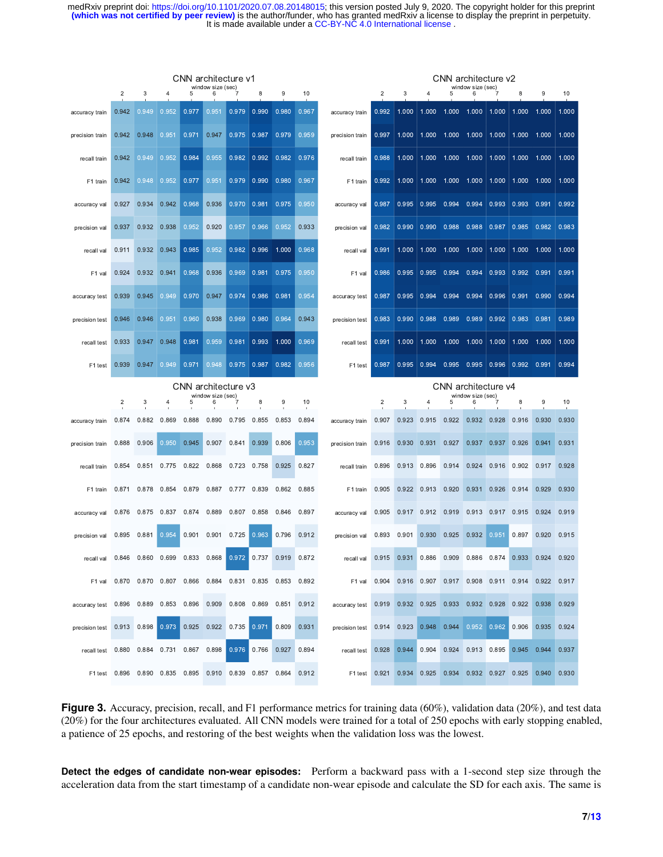<span id="page-6-0"></span>

|                 | CNN architecture v1<br>window size (sec) |             |                |                                                               |                        |       |       | CNN architecture v2<br>window size (sec) |       |                 |                |             |       |             |                        |                         |       |                   |       |
|-----------------|------------------------------------------|-------------|----------------|---------------------------------------------------------------|------------------------|-------|-------|------------------------------------------|-------|-----------------|----------------|-------------|-------|-------------|------------------------|-------------------------|-------|-------------------|-------|
|                 | $\overline{2}$                           | 3           | $\overline{4}$ | 5                                                             | 6                      |       | 8     | 9                                        | 10    |                 | $\overline{c}$ | 3           |       | 5           | 6                      |                         | 8     | 9                 | 10    |
| accuracy train  | 0.942                                    | 0.949       | 0.952          | 0.977                                                         | 0.951                  | 0.979 | 0.990 | 0.980                                    | 0.967 | accuracy train  | 0.992          | 1.000       | 1.000 | 1.000       | 1.000                  | 1.000                   | 1.000 | 1.000             | 1.000 |
| precision train | 0.942                                    | 0.948       | 0.951          | 0.971                                                         | 0.947                  | 0.975 | 0.987 | 0.979                                    | 0.959 | precision train | 0.997          | 1.000       | 1.000 | 1.000       | 1.000                  | 1.000                   | 1.000 | 1.000             | 1.000 |
| recall train    | 0.942                                    | 0.949       | 0.952          | 0.984                                                         | 0.955                  | 0.982 | 0.992 | 0.982                                    | 0.976 | recall train    | 0.988          | 1.000       | 1.000 | 1.000       | 1.000                  | 1.000                   | 1.000 | 1.000             | 1.000 |
| F1 train        | 0.942                                    | 0.948       | 0.952          | 0.977                                                         | 0.951                  | 0.979 | 0.990 | 0.980                                    | 0.967 | F1 train        | 0.992          | 1.000       | 1.000 | 1.000       | 1.000                  | 1.000                   | 1.000 | 1.000             | 1.000 |
| accuracy val    | 0.927                                    | 0.934       | 0.942          | 0.968                                                         | 0.936                  | 0.970 | 0.981 | 0.975                                    | 0.950 | accuracy val    | 0.987          | 0.995       | 0.995 | 0.994       | 0.994                  | 0.993                   | 0.993 | 0.991             | 0.992 |
| precision val   | 0.937                                    | 0.932       | 0.938          | 0.952                                                         | 0.920                  | 0.957 | 0.966 | 0.952                                    | 0.933 | precision val   | 0.982          | 0.990       | 0.990 | 0.988       | 0.988                  | 0.987                   | 0.985 | 0.982 0.983       |       |
| recall val      | 0.911                                    | 0.932       | 0.943          | 0.985                                                         | 0.952                  | 0.982 | 0.996 | 1.000                                    | 0.968 | recall val      | 0.991          | 1.000       | 1.000 | 1.000       | 1.000                  | 1.000                   | 1.000 | 1.000 1.000       |       |
| F1 val          | 0.924                                    | 0.932       | 0.941          | 0.968                                                         | 0.936                  | 0.969 | 0.981 | 0.975                                    | 0.950 | F1 val          | 0.986          | 0.995       | 0.995 | 0.994       | 0.994                  | 0.993                   | 0.992 | 0.991             | 0.991 |
| accuracy test   | 0.939                                    | 0.945       | 0.949          | 0.970                                                         | 0.947                  | 0.974 | 0.986 | 0.981                                    | 0.954 | accuracy test   | 0.987          | 0.995       | 0.994 | 0.994       | 0.994                  | 0.996                   | 0.991 | 0.990             | 0.994 |
| precision test  | 0.946                                    | 0.946       | 0.951          | 0.960                                                         | 0.938                  | 0.969 | 0.980 | 0.964                                    | 0.943 | precision test  | 0.983          | 0.990       | 0.988 | 0.989       | 0.989                  | 0.992                   | 0.983 | 0.981             | 0.989 |
| recall test     | 0.933                                    | 0.947       | 0.948          | 0.981                                                         | 0.959                  | 0.981 | 0.993 | 1.000                                    | 0.969 | recall test     | 0.991          | 1.000       | 1.000 | 1.000       | 1.000                  | 1.000                   | 1.000 | 1.000             | 1.000 |
| F1 test         | 0.939                                    | 0.947       | 0.949          | 0.971                                                         | 0.948                  | 0.975 | 0.987 | 0.982                                    | 0.956 | F1 test         | 0.987          | 0.995       | 0.994 | 0.995       | 0.995                  | 0.996                   | 0.992 | 0.991             | 0.994 |
|                 |                                          |             |                |                                                               |                        |       |       |                                          |       |                 |                |             |       |             |                        |                         |       |                   |       |
|                 |                                          |             |                | CNN architecture v3                                           |                        |       |       |                                          |       |                 |                |             |       |             |                        | CNN architecture v4     |       |                   |       |
|                 | $\overline{c}$                           | 3           | 4              | 5                                                             | window size (sec)<br>6 | 7     | 8     | 9                                        | 10    |                 | $\overline{2}$ | 3           | 4     | 5           | window size (sec)<br>6 |                         | 8     | 9                 | 10    |
| accuracy train  | 0.874                                    | 0.882       | 0.869          | 0.888                                                         | 0.890                  | 0.795 | 0.855 | 0.853                                    | 0.894 | accuracy train  | 0.907          | 0.923       | 0.915 | 0.922       | 0.932                  | 0.928                   | 0.916 | 0.930             | 0.930 |
| precision train | 0.888                                    | 0.906       | 0.950          | 0.945                                                         | 0.907                  | 0.841 | 0.939 | 0.806                                    | 0.953 | precision train | 0.916          | 0.930       | 0.931 | 0.927       | 0.937                  | 0.937                   | 0.926 | 0.941             | 0.931 |
| recall train    | 0.854                                    | 0.851       | 0.775          | 0.822                                                         | 0.868                  | 0.723 | 0.758 | 0.925                                    | 0.827 | recall train    | 0.896          | 0.913       | 0.896 | 0.914       | 0.924                  | 0.916                   | 0.902 | 0.917 0.928       |       |
| F1 train        | 0.871                                    | 0.878       | 0.854          | 0.879                                                         | 0.887                  | 0.777 | 0.839 | 0.862                                    | 0.885 | F1 train        | 0.905          | 0.922       | 0.913 | 0.920       | 0.931                  | 0.926                   | 0.914 | 0.929             | 0.930 |
| accuracy val    | 0.876                                    | 0.875       | 0.837          | 0.874                                                         | 0.889                  | 0.807 | 0.858 | 0.846                                    | 0.897 | accuracy val    | 0.905          | 0.917       | 0.912 | 0.919       | 0.913                  | 0.917                   | 0.915 | 0.924             | 0.919 |
| precision val   | 0.895                                    | 0.881       | 0.954          | 0.901                                                         | 0.901                  | 0.725 | 0.963 | 0.796                                    | 0.912 | precision val   | 0.893          | 0.901       | 0.930 | 0.925       | 0.932                  | 0.951                   | 0.897 | 0.920             | 0.915 |
| recall val      |                                          |             |                | 0.846 0.860 0.699 0.833 0.868                                 |                        | 0.972 |       | 0.737 0.919                              | 0.872 | recall val      | 0.915 0.931    |             | 0.886 | 0.909 0.886 |                        | 0.874                   |       | 0.933 0.924 0.920 |       |
| F1 val          |                                          |             |                | 0.870  0.870  0.807  0.866  0.884  0.831  0.835  0.853  0.892 |                        |       |       |                                          |       | F1 val          | 0.904          | 0.916 0.907 |       |             |                        | 0.917 0.908 0.911 0.914 |       | 0.922 0.917       |       |
| accuracy test   |                                          | 0.896 0.889 | 0.853          |                                                               | 0.896 0.909 0.808      |       | 0.869 | 0.851                                    | 0.912 | accuracy test   | 0.919          | 0.932       | 0.925 | 0.933       | 0.932                  | 0.928                   | 0.922 | 0.938             | 0.929 |
| precision test  |                                          | 0.913 0.898 | 0.973          | 0.925 0.922                                                   |                        | 0.735 | 0.971 | 0.809                                    | 0.931 | precision test  | 0.914          | 0.923       | 0.948 | 0.944       | 0.952                  | 0.962                   | 0.906 | 0.935             | 0.924 |
| recall test     | 0.880                                    | 0.884       | 0.731          | 0.867 0.898                                                   |                        | 0.976 | 0.766 | 0.927                                    | 0.894 | recall test     | 0.928          | 0.944       | 0.904 |             | 0.924 0.913 0.895      |                         | 0.945 | 0.944             | 0.937 |

**Figure 3.** Accuracy, precision, recall, and F1 performance metrics for training data (60%), validation data (20%), and test data (20%) for the four architectures evaluated. All CNN models were trained for a total of 250 epochs with early stopping enabled, a patience of 25 epochs, and restoring of the best weights when the validation loss was the lowest.

**Detect the edges of candidate non-wear episodes:** Perform a backward pass with a 1-second step size through the acceleration data from the start timestamp of a candidate non-wear episode and calculate the SD for each axis. The same is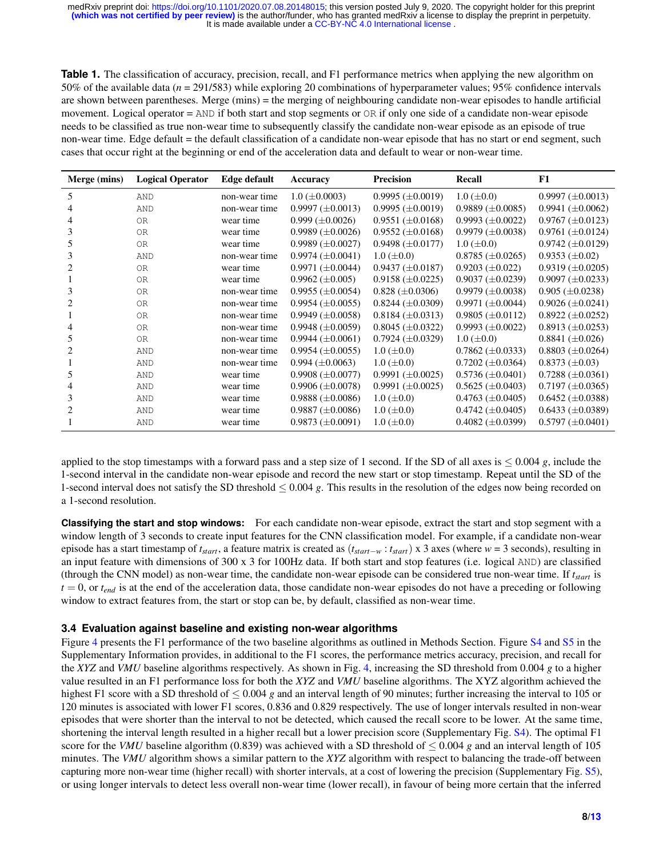<span id="page-7-0"></span>**Table 1.** The classification of accuracy, precision, recall, and F1 performance metrics when applying the new algorithm on 50% of the available data (*n* = 291/583) while exploring 20 combinations of hyperparameter values; 95% confidence intervals are shown between parentheses. Merge (mins) = the merging of neighbouring candidate non-wear episodes to handle artificial movement. Logical operator = AND if both start and stop segments or OR if only one side of a candidate non-wear episode needs to be classified as true non-wear time to subsequently classify the candidate non-wear episode as an episode of true non-wear time. Edge default = the default classification of a candidate non-wear episode that has no start or end segment, such cases that occur right at the beginning or end of the acceleration data and default to wear or non-wear time.

| Merge (mins) | <b>Logical Operator</b> | <b>Edge default</b> | Accuracy                 | <b>Precision</b>        | Recall                  | ${\bf F1}$              |
|--------------|-------------------------|---------------------|--------------------------|-------------------------|-------------------------|-------------------------|
| 5            | <b>AND</b>              | non-wear time       | $1.0 \ (\pm 0.0003)$     | $0.9995 \ (\pm 0.0019)$ | $1.0 \ (\pm 0.0)$       | $0.9997 \ (\pm 0.0013)$ |
|              | AND                     | non-wear time       | $0.9997 \ (\pm 0.0013)$  | $0.9995 \ (\pm 0.0019)$ | 0.9889 $(\pm 0.0085)$   | $0.9941 \ (\pm 0.0062)$ |
|              | <b>OR</b>               | wear time           | $0.999 \ (\pm 0.0026)$   | $0.9551 \ (\pm 0.0168)$ | $0.9993 \ (\pm 0.0022)$ | $0.9767 \ (\pm 0.0123)$ |
| 3            | <b>OR</b>               | wear time           | $0.9989 \ (\pm 0.0026)$  | $0.9552 \ (\pm 0.0168)$ | $0.9979 \ (\pm 0.0038)$ | 0.9761 $(\pm 0.0124)$   |
| 5            | OR                      | wear time           | $0.9989 \, (\pm 0.0027)$ | $0.9498 \ (\pm 0.0177)$ | $1.0 \ (\pm 0.0)$       | 0.9742 $(\pm 0.0129)$   |
| 3            | AND                     | non-wear time       | $0.9974 \ (\pm 0.0041)$  | $1.0 \ (\pm 0.0)$       | $0.8785 \ (\pm 0.0265)$ | $0.9353 \ (\pm 0.02)$   |
| 2            | <b>OR</b>               | wear time           | $0.9971 \ (\pm 0.0044)$  | $0.9437 \ (\pm 0.0187)$ | $0.9203 \ (\pm 0.022)$  | $0.9319 \ (\pm 0.0205)$ |
|              | 0R                      | wear time           | $0.9962 \ (\pm 0.005)$   | $0.9158 \ (\pm 0.0225)$ | $0.9037 \ (\pm 0.0239)$ | 0.9097 ( $\pm$ 0.0233)  |
| 3            | <b>OR</b>               | non-wear time       | $0.9955 \ (\pm 0.0054)$  | $0.828 \ (\pm 0.0306)$  | $0.9979 \ (\pm 0.0038)$ | $0.905 \ (\pm 0.0238)$  |
| 2            | <b>OR</b>               | non-wear time       | $0.9954 \ (\pm 0.0055)$  | $0.8244 \ (\pm 0.0309)$ | $0.9971 \ (\pm 0.0044)$ | $0.9026 \ (\pm 0.0241)$ |
|              | <b>OR</b>               | non-wear time       | $0.9949 \ (\pm 0.0058)$  | $0.8184 \ (\pm 0.0313)$ | $0.9805 \ (\pm 0.0112)$ | $0.8922 \ (\pm 0.0252)$ |
|              | <b>OR</b>               | non-wear time       | $0.9948 \ (\pm 0.0059)$  | $0.8045 \ (\pm 0.0322)$ | $0.9993 \ (\pm 0.0022)$ | $0.8913 \ (\pm 0.0253)$ |
| 5            | <b>OR</b>               | non-wear time       | $0.9944 \ (\pm 0.0061)$  | $0.7924 \ (\pm 0.0329)$ | $1.0 \ (\pm 0.0)$       | $0.8841 \ (\pm 0.026)$  |
|              | AND                     | non-wear time       | $0.9954 \ (\pm 0.0055)$  | $1.0 \ (\pm 0.0)$       | $0.7862 \ (\pm 0.0333)$ | $0.8803 \ (\pm 0.0264)$ |
|              | <b>AND</b>              | non-wear time       | $0.994 \ (\pm 0.0063)$   | $1.0 \ (\pm 0.0)$       | $0.7202 \ (\pm 0.0364)$ | $0.8373 \ (\pm 0.03)$   |
| 5            | AND                     | wear time           | $0.9908 \ (\pm 0.0077)$  | $0.9991 \ (\pm 0.0025)$ | $0.5736 \ (\pm 0.0401)$ | $0.7288 \ (\pm 0.0361)$ |
|              | AND                     | wear time           | $0.9906 \ (\pm 0.0078)$  | 0.9991 $(\pm 0.0025)$   | $0.5625 \ (\pm 0.0403)$ | $0.7197 \ (\pm 0.0365)$ |
| 3            | AND                     | wear time           | $0.9888 \ (\pm 0.0086)$  | $1.0 \ (\pm 0.0)$       | $0.4763 \ (\pm 0.0405)$ | $0.6452 (\pm 0.0388)$   |
| 2            | AND                     | wear time           | $0.9887 \ (\pm 0.0086)$  | $1.0 \ (\pm 0.0)$       | $0.4742 \ (\pm 0.0405)$ | $0.6433 \ (\pm 0.0389)$ |
|              | AND                     | wear time           | $0.9873 \ (\pm 0.0091)$  | $1.0 \ (\pm 0.0)$       | $0.4082 \ (\pm 0.0399)$ | $0.5797 \ (\pm 0.0401)$ |

applied to the stop timestamps with a forward pass and a step size of 1 second. If the SD of all axes is  $\leq 0.004$  g, include the 1-second interval in the candidate non-wear episode and record the new start or stop timestamp. Repeat until the SD of the 1-second interval does not satisfy the SD threshold ≤ 0.004 *g*. This results in the resolution of the edges now being recorded on a 1-second resolution.

**Classifying the start and stop windows:** For each candidate non-wear episode, extract the start and stop segment with a window length of 3 seconds to create input features for the CNN classification model. For example, if a candidate non-wear episode has a start timestamp of *tstart*, a feature matrix is created as (*tstart*−*<sup>w</sup>* : *tstart*) x 3 axes (where *w* = 3 seconds), resulting in an input feature with dimensions of 300 x 3 for 100Hz data. If both start and stop features (i.e. logical AND) are classified (through the CNN model) as non-wear time, the candidate non-wear episode can be considered true non-wear time. If *tstart* is  $t = 0$ , or  $t_{end}$  is at the end of the acceleration data, those candidate non-wear episodes do not have a preceding or following window to extract features from, the start or stop can be, by default, classified as non-wear time.

## **3.4 Evaluation against baseline and existing non-wear algorithms**

Figure [4](#page-8-0) presents the F1 performance of the two baseline algorithms as outlined in Methods Section. Figure [S4](#page-0-0) and [S5](#page-0-0) in the Supplementary Information provides, in additional to the F1 scores, the performance metrics accuracy, precision, and recall for the *XYZ* and *VMU* baseline algorithms respectively. As shown in Fig. [4,](#page-8-0) increasing the SD threshold from 0.004 *g* to a higher value resulted in an F1 performance loss for both the *XYZ* and *VMU* baseline algorithms. The XYZ algorithm achieved the highest F1 score with a SD threshold of ≤ 0.004 *g* and an interval length of 90 minutes; further increasing the interval to 105 or 120 minutes is associated with lower F1 scores, 0.836 and 0.829 respectively. The use of longer intervals resulted in non-wear episodes that were shorter than the interval to not be detected, which caused the recall score to be lower. At the same time, shortening the interval length resulted in a higher recall but a lower precision score (Supplementary Fig. [S4\)](#page-0-0). The optimal F1 score for the *VMU* baseline algorithm (0.839) was achieved with a SD threshold of  $\leq 0.004$  g and an interval length of 105 minutes. The *VMU* algorithm shows a similar pattern to the *XYZ* algorithm with respect to balancing the trade-off between capturing more non-wear time (higher recall) with shorter intervals, at a cost of lowering the precision (Supplementary Fig. [S5\)](#page-0-0), or using longer intervals to detect less overall non-wear time (lower recall), in favour of being more certain that the inferred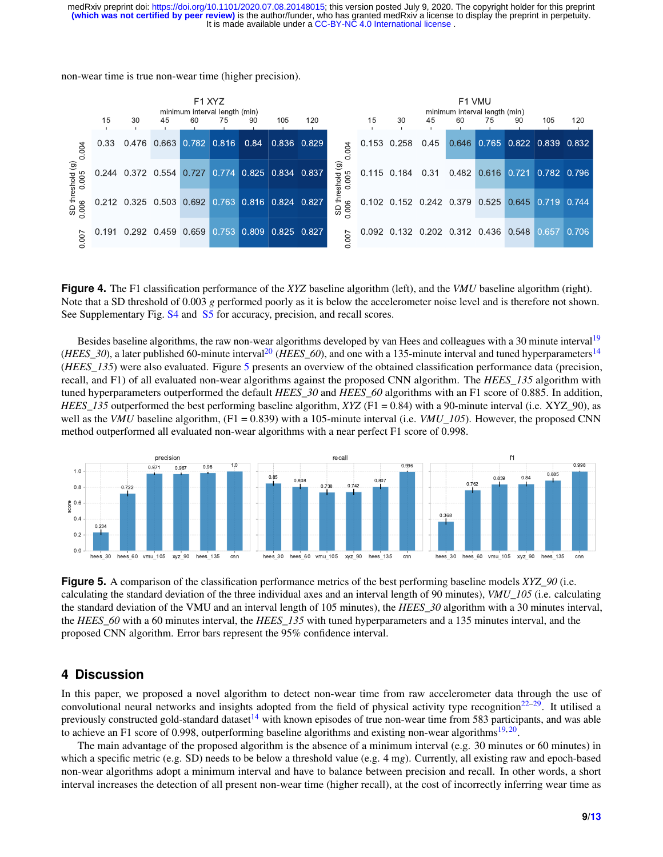non-wear time is true non-wear time (higher precision).

<span id="page-8-0"></span>

|                                 | F <sub>1</sub> XYZ<br>minimum interval length (min)<br>15<br>30<br>60<br>75<br>90<br>105<br>120<br>45 |                               |  |  |                         |                   |  |             |                                           | F1 VMU<br>minimum interval length (min)<br>15<br>30<br>60<br>75<br>90<br>105<br>45<br>120 |             |      |       |                                 |                         |  |       |
|---------------------------------|-------------------------------------------------------------------------------------------------------|-------------------------------|--|--|-------------------------|-------------------|--|-------------|-------------------------------------------|-------------------------------------------------------------------------------------------|-------------|------|-------|---------------------------------|-------------------------|--|-------|
| 0.004                           | 0.33                                                                                                  |                               |  |  | 0.476 0.663 0.782 0.816 | 0.84              |  | 0.836 0.829 | 004                                       |                                                                                           | 0.153 0.258 | 0.45 |       | $0.646$ 0.765 0.822 0.839 0.832 |                         |  |       |
| $\widehat{\mathbf{G}}$<br>0.005 |                                                                                                       | 0.244 0.372 0.554 0.727 0.774 |  |  |                         | 0.825 0.834 0.837 |  |             | $\widehat{\mathbf{G}}$<br>0.005<br>eshold | 0.115                                                                                     | 0.184       | 0.31 | 0.482 |                                 | 0.616 0.721 0.782 0.796 |  |       |
| SD threshold<br>.006            |                                                                                                       | 0.212 0.325 0.503 0.692 0.763 |  |  |                         | 0.816 0.824 0.827 |  |             | SD three<br>0.006                         |                                                                                           |             |      |       | 0.102 0.152 0.242 0.379 0.525   | 0.645 0.719 0.744       |  |       |
| 007                             | 191                                                                                                   | 0.292 0.459 0.659 0.753       |  |  |                         | 0.809 0.825 0.827 |  |             | 007                                       |                                                                                           |             |      |       | 0.092 0.132 0.202 0.312 0.436   | 0.548 0.657             |  | 0.706 |

**Figure 4.** The F1 classification performance of the *XYZ* baseline algorithm (left), and the *VMU* baseline algorithm (right). Note that a SD threshold of 0.003 *g* performed poorly as it is below the accelerometer noise level and is therefore not shown. See Supplementary Fig. [S4](#page-0-0) and [S5](#page-0-0) for accuracy, precision, and recall scores.

Besides baseline algorithms, the raw non-wear algorithms developed by van Hees and colleagues with a 30 minute interval<sup>[19](#page-11-8)</sup> (*HEES*\_30), a later published 60-minute interval<sup>[20](#page-11-9)</sup> (*HEES*\_60), and one with a 135-minute interval and tuned hyperparameters<sup>[14](#page-11-5)</sup> (*HEES\_135*) were also evaluated. Figure [5](#page-8-1) presents an overview of the obtained classification performance data (precision, recall, and F1) of all evaluated non-wear algorithms against the proposed CNN algorithm. The *HEES\_135* algorithm with tuned hyperparameters outperformed the default *HEES\_30* and *HEES\_60* algorithms with an F1 score of 0.885. In addition, *HEES* 135 outperformed the best performing baseline algorithm, *XYZ* (F1 = 0.84) with a 90-minute interval (i.e. XYZ 90), as well as the *VMU* baseline algorithm, (F1 = 0.839) with a 105-minute interval (i.e. *VMU* 105). However, the proposed CNN method outperformed all evaluated non-wear algorithms with a near perfect F1 score of 0.998.

<span id="page-8-1"></span>

**Figure 5.** A comparison of the classification performance metrics of the best performing baseline models *XYZ\_90* (i.e. calculating the standard deviation of the three individual axes and an interval length of 90 minutes), *VMU\_105* (i.e. calculating the standard deviation of the VMU and an interval length of 105 minutes), the *HEES\_30* algorithm with a 30 minutes interval, the *HEES* 60 with a 60 minutes interval, the *HEES* 135 with tuned hyperparameters and a 135 minutes interval, and the proposed CNN algorithm. Error bars represent the 95% confidence interval.

## **4 Discussion**

In this paper, we proposed a novel algorithm to detect non-wear time from raw accelerometer data through the use of convolutional neural networks and insights adopted from the field of physical activity type recognition $22-29$  $22-29$ . It utilised a previously constructed gold-standard dataset<sup>[14](#page-11-5)</sup> with known episodes of true non-wear time from 583 participants, and was able to achieve an F1 score of 0.998, outperforming baseline algorithms and existing non-wear algorithms<sup>[19,](#page-11-8)[20](#page-11-9)</sup>.

The main advantage of the proposed algorithm is the absence of a minimum interval (e.g. 30 minutes or 60 minutes) in which a specific metric (e.g. SD) needs to be below a threshold value (e.g. 4 mg). Currently, all existing raw and epoch-based non-wear algorithms adopt a minimum interval and have to balance between precision and recall. In other words, a short interval increases the detection of all present non-wear time (higher recall), at the cost of incorrectly inferring wear time as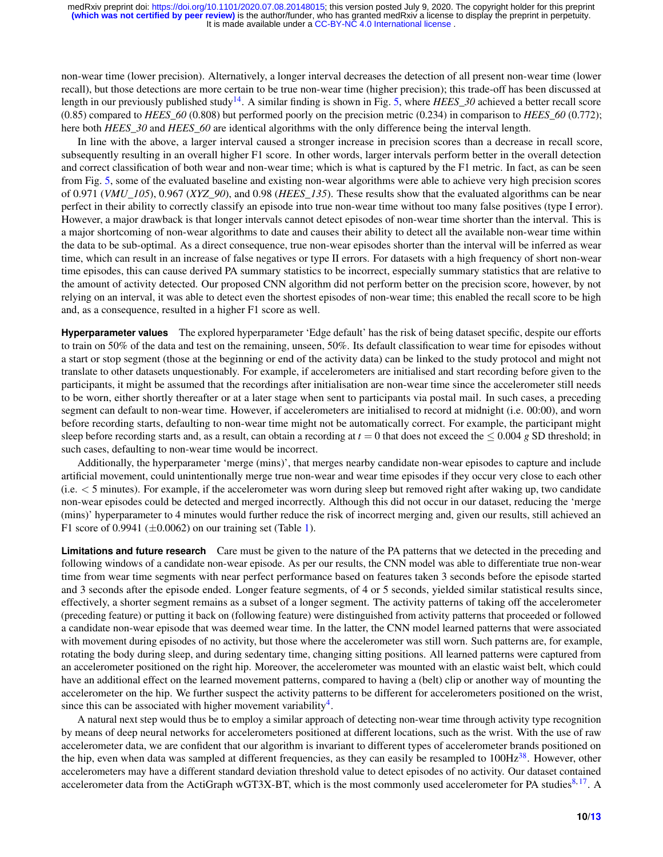non-wear time (lower precision). Alternatively, a longer interval decreases the detection of all present non-wear time (lower recall), but those detections are more certain to be true non-wear time (higher precision); this trade-off has been discussed at length in our previously published study[14](#page-11-5). A similar finding is shown in Fig. [5,](#page-8-1) where *HEES\_30* achieved a better recall score (0.85) compared to *HEES\_60* (0.808) but performed poorly on the precision metric (0.234) in comparison to *HEES\_60* (0.772); here both *HEES\_30* and *HEES\_60* are identical algorithms with the only difference being the interval length.

In line with the above, a larger interval caused a stronger increase in precision scores than a decrease in recall score, subsequently resulting in an overall higher F1 score. In other words, larger intervals perform better in the overall detection and correct classification of both wear and non-wear time; which is what is captured by the F1 metric. In fact, as can be seen from Fig. [5,](#page-8-1) some of the evaluated baseline and existing non-wear algorithms were able to achieve very high precision scores of 0.971 (*VMU\_105*), 0.967 (*XYZ\_90*), and 0.98 (*HEES\_135*). These results show that the evaluated algorithms can be near perfect in their ability to correctly classify an episode into true non-wear time without too many false positives (type I error). However, a major drawback is that longer intervals cannot detect episodes of non-wear time shorter than the interval. This is a major shortcoming of non-wear algorithms to date and causes their ability to detect all the available non-wear time within the data to be sub-optimal. As a direct consequence, true non-wear episodes shorter than the interval will be inferred as wear time, which can result in an increase of false negatives or type II errors. For datasets with a high frequency of short non-wear time episodes, this can cause derived PA summary statistics to be incorrect, especially summary statistics that are relative to the amount of activity detected. Our proposed CNN algorithm did not perform better on the precision score, however, by not relying on an interval, it was able to detect even the shortest episodes of non-wear time; this enabled the recall score to be high and, as a consequence, resulted in a higher F1 score as well.

**Hyperparameter values** The explored hyperparameter 'Edge default' has the risk of being dataset specific, despite our efforts to train on 50% of the data and test on the remaining, unseen, 50%. Its default classification to wear time for episodes without a start or stop segment (those at the beginning or end of the activity data) can be linked to the study protocol and might not translate to other datasets unquestionably. For example, if accelerometers are initialised and start recording before given to the participants, it might be assumed that the recordings after initialisation are non-wear time since the accelerometer still needs to be worn, either shortly thereafter or at a later stage when sent to participants via postal mail. In such cases, a preceding segment can default to non-wear time. However, if accelerometers are initialised to record at midnight (i.e. 00:00), and worn before recording starts, defaulting to non-wear time might not be automatically correct. For example, the participant might sleep before recording starts and, as a result, can obtain a recording at  $t = 0$  that does not exceed the  $\leq 0.004$  g SD threshold; in such cases, defaulting to non-wear time would be incorrect.

Additionally, the hyperparameter 'merge (mins)', that merges nearby candidate non-wear episodes to capture and include artificial movement, could unintentionally merge true non-wear and wear time episodes if they occur very close to each other  $(i.e. < 5$  minutes). For example, if the accelerometer was worn during sleep but removed right after waking up, two candidate non-wear episodes could be detected and merged incorrectly. Although this did not occur in our dataset, reducing the 'merge (mins)' hyperparameter to 4 minutes would further reduce the risk of incorrect merging and, given our results, still achieved an F1 score of 0.9941  $(\pm 0.0062)$  on our training set (Table [1\)](#page-7-0).

**Limitations and future research** Care must be given to the nature of the PA patterns that we detected in the preceding and following windows of a candidate non-wear episode. As per our results, the CNN model was able to differentiate true non-wear time from wear time segments with near perfect performance based on features taken 3 seconds before the episode started and 3 seconds after the episode ended. Longer feature segments, of 4 or 5 seconds, yielded similar statistical results since, effectively, a shorter segment remains as a subset of a longer segment. The activity patterns of taking off the accelerometer (preceding feature) or putting it back on (following feature) were distinguished from activity patterns that proceeded or followed a candidate non-wear episode that was deemed wear time. In the latter, the CNN model learned patterns that were associated with movement during episodes of no activity, but those where the accelerometer was still worn. Such patterns are, for example, rotating the body during sleep, and during sedentary time, changing sitting positions. All learned patterns were captured from an accelerometer positioned on the right hip. Moreover, the accelerometer was mounted with an elastic waist belt, which could have an additional effect on the learned movement patterns, compared to having a (belt) clip or another way of mounting the accelerometer on the hip. We further suspect the activity patterns to be different for accelerometers positioned on the wrist, since this can be associated with higher movement variability<sup>[4](#page-10-1)</sup>.

A natural next step would thus be to employ a similar approach of detecting non-wear time through activity type recognition by means of deep neural networks for accelerometers positioned at different locations, such as the wrist. With the use of raw accelerometer data, we are confident that our algorithm is invariant to different types of accelerometer brands positioned on the hip, even when data was sampled at different frequencies, as they can easily be resampled to 100Hz<sup>[38](#page-12-12)</sup>. However, other accelerometers may have a different standard deviation threshold value to detect episodes of no activity. Our dataset contained accelerometer data from the ActiGraph wGT3X-BT, which is the most commonly used accelerometer for PA studies<sup>[8,](#page-11-0)[17](#page-11-12)</sup>. A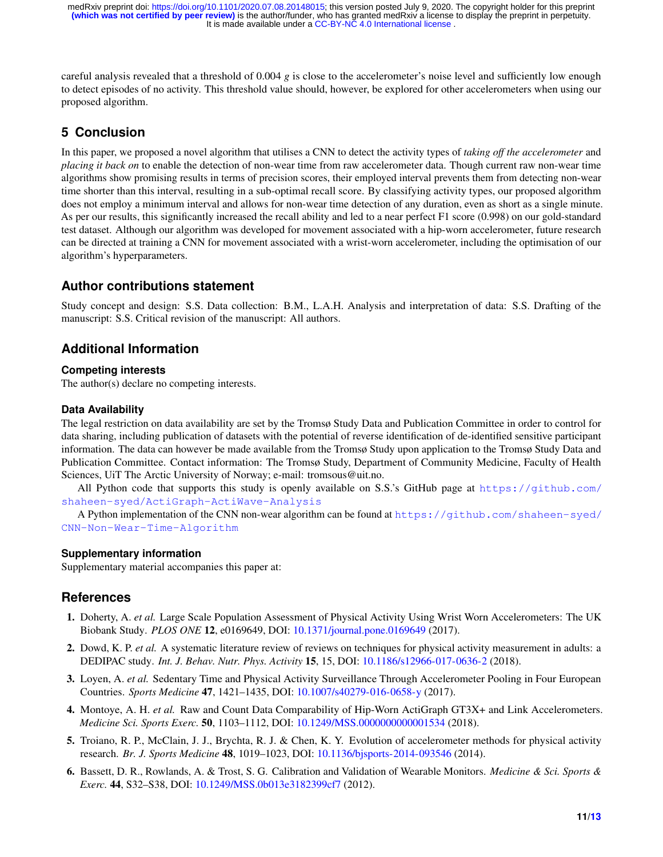careful analysis revealed that a threshold of 0.004 *g* is close to the accelerometer's noise level and sufficiently low enough to detect episodes of no activity. This threshold value should, however, be explored for other accelerometers when using our proposed algorithm.

# **5 Conclusion**

In this paper, we proposed a novel algorithm that utilises a CNN to detect the activity types of *taking off the accelerometer* and *placing it back on* to enable the detection of non-wear time from raw accelerometer data. Though current raw non-wear time algorithms show promising results in terms of precision scores, their employed interval prevents them from detecting non-wear time shorter than this interval, resulting in a sub-optimal recall score. By classifying activity types, our proposed algorithm does not employ a minimum interval and allows for non-wear time detection of any duration, even as short as a single minute. As per our results, this significantly increased the recall ability and led to a near perfect F1 score (0.998) on our gold-standard test dataset. Although our algorithm was developed for movement associated with a hip-worn accelerometer, future research can be directed at training a CNN for movement associated with a wrist-worn accelerometer, including the optimisation of our algorithm's hyperparameters.

# **Author contributions statement**

Study concept and design: S.S. Data collection: B.M., L.A.H. Analysis and interpretation of data: S.S. Drafting of the manuscript: S.S. Critical revision of the manuscript: All authors.

# **Additional Information**

## **Competing interests**

The author(s) declare no competing interests.

## **Data Availability**

The legal restriction on data availability are set by the Tromsø Study Data and Publication Committee in order to control for data sharing, including publication of datasets with the potential of reverse identification of de-identified sensitive participant information. The data can however be made available from the Tromsø Study upon application to the Tromsø Study Data and Publication Committee. Contact information: The Tromsø Study, Department of Community Medicine, Faculty of Health Sciences, UiT The Arctic University of Norway; e-mail: tromsous@uit.no.

All Python code that supports this study is openly available on S.S.'s GitHub page at [https://github.com/](https://github.com/shaheen-syed/ActiGraph-ActiWave-Analysis) [shaheen-syed/ActiGraph-ActiWave-Analysis](https://github.com/shaheen-syed/ActiGraph-ActiWave-Analysis)

A Python implementation of the CNN non-wear algorithm can be found at [https://github.com/shaheen-syed/](https://github.com/shaheen-syed/CNN-Non-Wear-Time-Algorithm) [CNN-Non-Wear-Time-Algorithm](https://github.com/shaheen-syed/CNN-Non-Wear-Time-Algorithm)

## **Supplementary information**

Supplementary material accompanies this paper at:

# **References**

- <span id="page-10-0"></span>1. Doherty, A. *et al.* Large Scale Population Assessment of Physical Activity Using Wrist Worn Accelerometers: The UK Biobank Study. *PLOS ONE* 12, e0169649, DOI: <10.1371/journal.pone.0169649> (2017).
- 2. Dowd, K. P. *et al.* A systematic literature review of reviews on techniques for physical activity measurement in adults: a DEDIPAC study. *Int. J. Behav. Nutr. Phys. Activity* 15, 15, DOI: <10.1186/s12966-017-0636-2> (2018).
- 3. Loyen, A. *et al.* Sedentary Time and Physical Activity Surveillance Through Accelerometer Pooling in Four European Countries. *Sports Medicine* 47, 1421–1435, DOI: <10.1007/s40279-016-0658-y> (2017).
- <span id="page-10-1"></span>4. Montoye, A. H. *et al.* Raw and Count Data Comparability of Hip-Worn ActiGraph GT3X+ and Link Accelerometers. *Medicine Sci. Sports Exerc.* 50, 1103–1112, DOI: <10.1249/MSS.0000000000001534> (2018).
- <span id="page-10-2"></span>5. Troiano, R. P., McClain, J. J., Brychta, R. J. & Chen, K. Y. Evolution of accelerometer methods for physical activity research. *Br. J. Sports Medicine* 48, 1019–1023, DOI: <10.1136/bjsports-2014-093546> (2014).
- <span id="page-10-3"></span>6. Bassett, D. R., Rowlands, A. & Trost, S. G. Calibration and Validation of Wearable Monitors. *Medicine & Sci. Sports & Exerc.* 44, S32–S38, DOI: <10.1249/MSS.0b013e3182399cf7> (2012).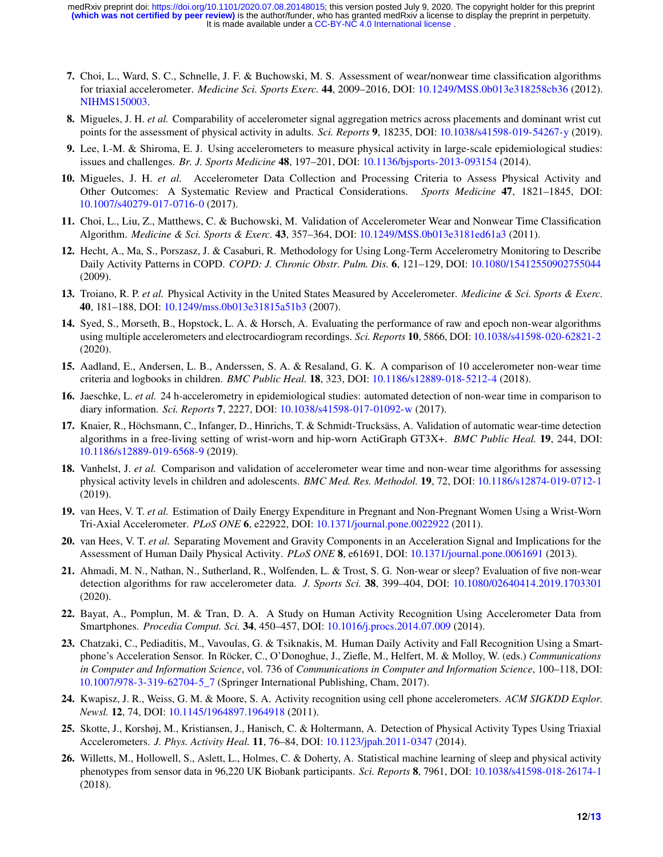- 7. Choi, L., Ward, S. C., Schnelle, J. F. & Buchowski, M. S. Assessment of wear/nonwear time classification algorithms for triaxial accelerometer. *Medicine Sci. Sports Exerc.* 44, 2009–2016, DOI: <10.1249/MSS.0b013e318258cb36> (2012). [NIHMS150003.](NIHMS150003)
- <span id="page-11-0"></span>8. Migueles, J. H. *et al.* Comparability of accelerometer signal aggregation metrics across placements and dominant wrist cut points for the assessment of physical activity in adults. *Sci. Reports* 9, 18235, DOI: <10.1038/s41598-019-54267-y> (2019).
- <span id="page-11-1"></span>9. Lee, I.-M. & Shiroma, E. J. Using accelerometers to measure physical activity in large-scale epidemiological studies: issues and challenges. *Br. J. Sports Medicine* 48, 197–201, DOI: <10.1136/bjsports-2013-093154> (2014).
- <span id="page-11-2"></span>10. Migueles, J. H. *et al.* Accelerometer Data Collection and Processing Criteria to Assess Physical Activity and Other Outcomes: A Systematic Review and Practical Considerations. *Sports Medicine* 47, 1821–1845, DOI: <10.1007/s40279-017-0716-0> (2017).
- <span id="page-11-3"></span>11. Choi, L., Liu, Z., Matthews, C. & Buchowski, M. Validation of Accelerometer Wear and Nonwear Time Classification Algorithm. *Medicine & Sci. Sports & Exerc.* 43, 357–364, DOI: <10.1249/MSS.0b013e3181ed61a3> (2011).
- 12. Hecht, A., Ma, S., Porszasz, J. & Casaburi, R. Methodology for Using Long-Term Accelerometry Monitoring to Describe Daily Activity Patterns in COPD. *COPD: J. Chronic Obstr. Pulm. Dis.* 6, 121–129, DOI: <10.1080/15412550902755044> (2009).
- <span id="page-11-4"></span>13. Troiano, R. P. *et al.* Physical Activity in the United States Measured by Accelerometer. *Medicine & Sci. Sports & Exerc.* 40, 181–188, DOI: <10.1249/mss.0b013e31815a51b3> (2007).
- <span id="page-11-5"></span>14. Syed, S., Morseth, B., Hopstock, L. A. & Horsch, A. Evaluating the performance of raw and epoch non-wear algorithms using multiple accelerometers and electrocardiogram recordings. *Sci. Reports* 10, 5866, DOI: <10.1038/s41598-020-62821-2> (2020).
- <span id="page-11-6"></span>15. Aadland, E., Andersen, L. B., Anderssen, S. A. & Resaland, G. K. A comparison of 10 accelerometer non-wear time criteria and logbooks in children. *BMC Public Heal.* 18, 323, DOI: <10.1186/s12889-018-5212-4> (2018).
- 16. Jaeschke, L. *et al.* 24 h-accelerometry in epidemiological studies: automated detection of non-wear time in comparison to diary information. *Sci. Reports* 7, 2227, DOI: <10.1038/s41598-017-01092-w> (2017).
- <span id="page-11-12"></span>17. Knaier, R., Höchsmann, C., Infanger, D., Hinrichs, T. & Schmidt-Trucksäss, A. Validation of automatic wear-time detection algorithms in a free-living setting of wrist-worn and hip-worn ActiGraph GT3X+. *BMC Public Heal.* 19, 244, DOI: <10.1186/s12889-019-6568-9> (2019).
- <span id="page-11-7"></span>18. Vanhelst, J. *et al.* Comparison and validation of accelerometer wear time and non-wear time algorithms for assessing physical activity levels in children and adolescents. *BMC Med. Res. Methodol.* 19, 72, DOI: <10.1186/s12874-019-0712-1> (2019).
- <span id="page-11-8"></span>19. van Hees, V. T. *et al.* Estimation of Daily Energy Expenditure in Pregnant and Non-Pregnant Women Using a Wrist-Worn Tri-Axial Accelerometer. *PLoS ONE* 6, e22922, DOI: <10.1371/journal.pone.0022922> (2011).
- <span id="page-11-9"></span>20. van Hees, V. T. *et al.* Separating Movement and Gravity Components in an Acceleration Signal and Implications for the Assessment of Human Daily Physical Activity. *PLoS ONE* 8, e61691, DOI: <10.1371/journal.pone.0061691> (2013).
- <span id="page-11-10"></span>21. Ahmadi, M. N., Nathan, N., Sutherland, R., Wolfenden, L. & Trost, S. G. Non-wear or sleep? Evaluation of five non-wear detection algorithms for raw accelerometer data. *J. Sports Sci.* 38, 399–404, DOI: <10.1080/02640414.2019.1703301> (2020).
- <span id="page-11-11"></span>22. Bayat, A., Pomplun, M. & Tran, D. A. A Study on Human Activity Recognition Using Accelerometer Data from Smartphones. *Procedia Comput. Sci.* 34, 450–457, DOI: <10.1016/j.procs.2014.07.009> (2014).
- 23. Chatzaki, C., Pediaditis, M., Vavoulas, G. & Tsiknakis, M. Human Daily Activity and Fall Recognition Using a Smartphone's Acceleration Sensor. In Röcker, C., O'Donoghue, J., Ziefle, M., Helfert, M. & Molloy, W. (eds.) *Communications in Computer and Information Science*, vol. 736 of *Communications in Computer and Information Science*, 100–118, DOI: [10.1007/978-3-319-62704-5\\_7](10.1007/978-3-319-62704-5_7) (Springer International Publishing, Cham, 2017).
- 24. Kwapisz, J. R., Weiss, G. M. & Moore, S. A. Activity recognition using cell phone accelerometers. *ACM SIGKDD Explor. Newsl.* 12, 74, DOI: <10.1145/1964897.1964918> (2011).
- 25. Skotte, J., Korshøj, M., Kristiansen, J., Hanisch, C. & Holtermann, A. Detection of Physical Activity Types Using Triaxial Accelerometers. *J. Phys. Activity Heal.* 11, 76–84, DOI: <10.1123/jpah.2011-0347> (2014).
- 26. Willetts, M., Hollowell, S., Aslett, L., Holmes, C. & Doherty, A. Statistical machine learning of sleep and physical activity phenotypes from sensor data in 96,220 UK Biobank participants. *Sci. Reports* 8, 7961, DOI: <10.1038/s41598-018-26174-1> (2018).